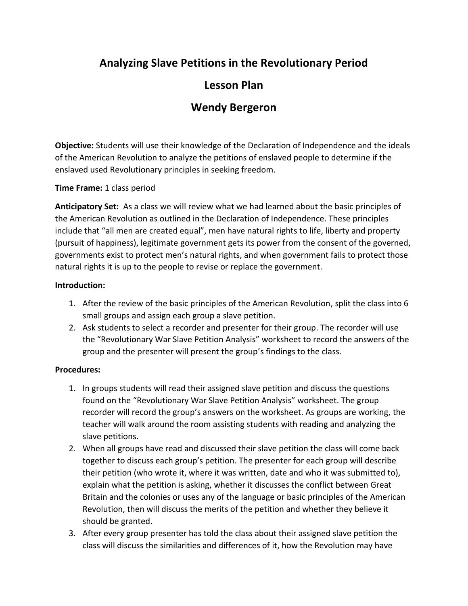# **Analyzing Slave Petitions in the Revolutionary Period**

# **Lesson Plan**

# **Wendy Bergeron**

**Objective:** Students will use their knowledge of the Declaration of Independence and the ideals of the American Revolution to analyze the petitions of enslaved people to determine if the enslaved used Revolutionary principles in seeking freedom.

#### **Time Frame:** 1 class period

**Anticipatory Set:** As a class we will review what we had learned about the basic principles of the American Revolution as outlined in the Declaration of Independence. These principles include that "all men are created equal", men have natural rights to life, liberty and property (pursuit of happiness), legitimate government gets its power from the consent of the governed, governments exist to protect men's natural rights, and when government fails to protect those natural rights it is up to the people to revise or replace the government.

#### **Introduction:**

- 1. After the review of the basic principles of the American Revolution, split the class into 6 small groups and assign each group a slave petition.
- 2. Ask students to select a recorder and presenter for their group. The recorder will use the "Revolutionary War Slave Petition Analysis" worksheet to record the answers of the group and the presenter will present the group's findings to the class.

#### **Procedures:**

- 1. In groups students will read their assigned slave petition and discuss the questions found on the "Revolutionary War Slave Petition Analysis" worksheet. The group recorder will record the group's answers on the worksheet. As groups are working, the teacher will walk around the room assisting students with reading and analyzing the slave petitions.
- 2. When all groups have read and discussed their slave petition the class will come back together to discuss each group's petition. The presenter for each group will describe their petition (who wrote it, where it was written, date and who it was submitted to), explain what the petition is asking, whether it discusses the conflict between Great Britain and the colonies or uses any of the language or basic principles of the American Revolution, then will discuss the merits of the petition and whether they believe it should be granted.
- 3. After every group presenter has told the class about their assigned slave petition the class will discuss the similarities and differences of it, how the Revolution may have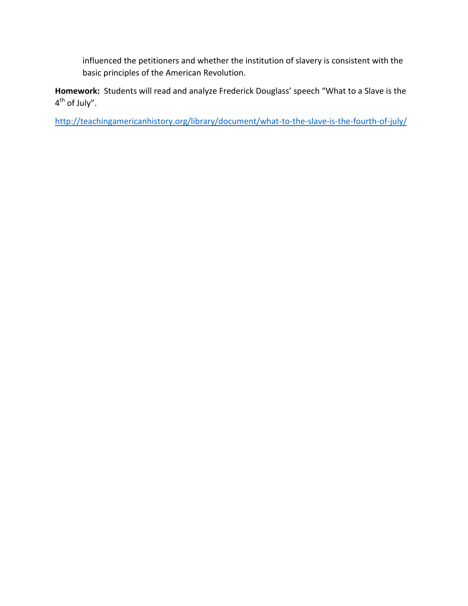influenced the petitioners and whether the institution of slavery is consistent with the basic principles of the American Revolution.

**Homework:** Students will read and analyze Frederick Douglass' speech "What to a Slave is the 4<sup>th</sup> of July".

<http://teachingamericanhistory.org/library/document/what-to-the-slave-is-the-fourth-of-july/>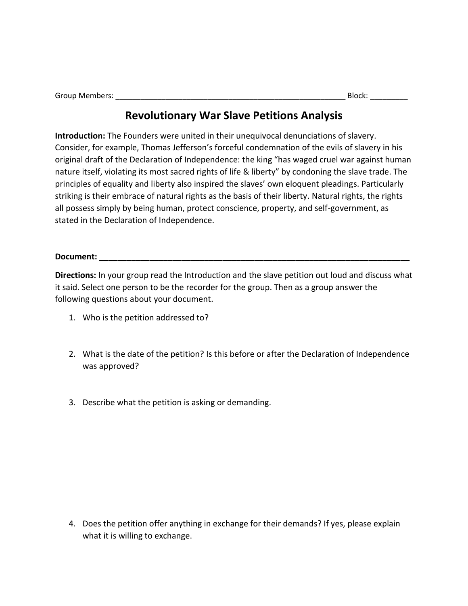Group Members: \_\_\_\_\_\_\_\_\_\_\_\_\_\_\_\_\_\_\_\_\_\_\_\_\_\_\_\_\_\_\_\_\_\_\_\_\_\_\_\_\_\_\_\_\_\_\_\_\_\_\_\_\_\_\_ Block: \_\_\_\_\_\_\_\_\_

## **Revolutionary War Slave Petitions Analysis**

**Introduction:** The Founders were united in their unequivocal denunciations of slavery. Consider, for example, Thomas Jefferson's forceful condemnation of the evils of slavery in his original draft of the Declaration of Independence: the king "has waged cruel war against human nature itself, violating its most sacred rights of life & liberty" by condoning the slave trade. The principles of equality and liberty also inspired the slaves' own eloquent pleadings. Particularly striking is their embrace of natural rights as the basis of their liberty. Natural rights, the rights all possess simply by being human, protect conscience, property, and self-government, as stated in the Declaration of Independence.

#### **Document: \_\_\_\_\_\_\_\_\_\_\_\_\_\_\_\_\_\_\_\_\_\_\_\_\_\_\_\_\_\_\_\_\_\_\_\_\_\_\_\_\_\_\_\_\_\_\_\_\_\_\_\_\_\_\_\_\_\_\_\_\_\_\_\_\_\_\_\_**

**Directions:** In your group read the Introduction and the slave petition out loud and discuss what it said. Select one person to be the recorder for the group. Then as a group answer the following questions about your document.

- 1. Who is the petition addressed to?
- 2. What is the date of the petition? Is this before or after the Declaration of Independence was approved?
- 3. Describe what the petition is asking or demanding.

4. Does the petition offer anything in exchange for their demands? If yes, please explain what it is willing to exchange.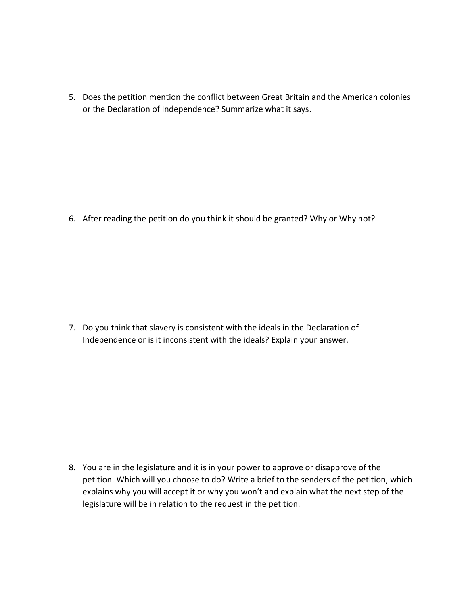5. Does the petition mention the conflict between Great Britain and the American colonies or the Declaration of Independence? Summarize what it says.

6. After reading the petition do you think it should be granted? Why or Why not?

7. Do you think that slavery is consistent with the ideals in the Declaration of Independence or is it inconsistent with the ideals? Explain your answer.

8. You are in the legislature and it is in your power to approve or disapprove of the petition. Which will you choose to do? Write a brief to the senders of the petition, which explains why you will accept it or why you won't and explain what the next step of the legislature will be in relation to the request in the petition.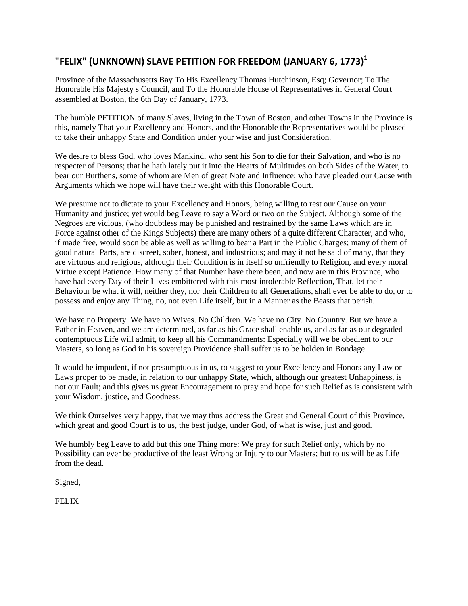## **"FELIX" (UNKNOWN) SLAVE PETITION FOR FREEDOM (JANUARY 6, 1773)<sup>1</sup>**

Province of the Massachusetts Bay To His Excellency Thomas Hutchinson, Esq; Governor; To The Honorable His Majesty s Council, and To the Honorable House of Representatives in General Court assembled at Boston, the 6th Day of January, 1773.

The humble PETITION of many Slaves, living in the Town of Boston, and other Towns in the Province is this, namely That your Excellency and Honors, and the Honorable the Representatives would be pleased to take their unhappy State and Condition under your wise and just Consideration.

We desire to bless God, who loves Mankind, who sent his Son to die for their Salvation, and who is no respecter of Persons; that he hath lately put it into the Hearts of Multitudes on both Sides of the Water, to bear our Burthens, some of whom are Men of great Note and Influence; who have pleaded our Cause with Arguments which we hope will have their weight with this Honorable Court.

We presume not to dictate to your Excellency and Honors, being willing to rest our Cause on your Humanity and justice; yet would beg Leave to say a Word or two on the Subject. Although some of the Negroes are vicious, (who doubtless may be punished and restrained by the same Laws which are in Force against other of the Kings Subjects) there are many others of a quite different Character, and who, if made free, would soon be able as well as willing to bear a Part in the Public Charges; many of them of good natural Parts, are discreet, sober, honest, and industrious; and may it not be said of many, that they are virtuous and religious, although their Condition is in itself so unfriendly to Religion, and every moral Virtue except Patience. How many of that Number have there been, and now are in this Province, who have had every Day of their Lives embittered with this most intolerable Reflection, That, let their Behaviour be what it will, neither they, nor their Children to all Generations, shall ever be able to do, or to possess and enjoy any Thing, no, not even Life itself, but in a Manner as the Beasts that perish.

We have no Property. We have no Wives. No Children. We have no City. No Country. But we have a Father in Heaven, and we are determined, as far as his Grace shall enable us, and as far as our degraded contemptuous Life will admit, to keep all his Commandments: Especially will we be obedient to our Masters, so long as God in his sovereign Providence shall suffer us to be holden in Bondage.

It would be impudent, if not presumptuous in us, to suggest to your Excellency and Honors any Law or Laws proper to be made, in relation to our unhappy State, which, although our greatest Unhappiness, is not our Fault; and this gives us great Encouragement to pray and hope for such Relief as is consistent with your Wisdom, justice, and Goodness.

We think Ourselves very happy, that we may thus address the Great and General Court of this Province, which great and good Court is to us, the best judge, under God, of what is wise, just and good.

We humbly beg Leave to add but this one Thing more: We pray for such Relief only, which by no Possibility can ever be productive of the least Wrong or Injury to our Masters; but to us will be as Life from the dead.

Signed,

FELIX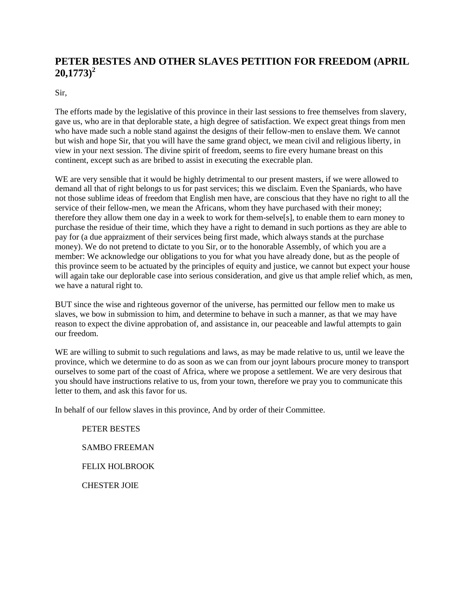## **PETER BESTES AND OTHER SLAVES PETITION FOR FREEDOM (APRIL 20,1773)<sup>2</sup>**

Sir,

The efforts made by the legislative of this province in their last sessions to free themselves from slavery, gave us, who are in that deplorable state, a high degree of satisfaction. We expect great things from men who have made such a noble stand against the designs of their fellow-men to enslave them. We cannot but wish and hope Sir, that you will have the same grand object, we mean civil and religious liberty, in view in your next session. The divine spirit of freedom, seems to fire every humane breast on this continent, except such as are bribed to assist in executing the execrable plan.

WE are very sensible that it would be highly detrimental to our present masters, if we were allowed to demand all that of right belongs to us for past services; this we disclaim. Even the Spaniards, who have not those sublime ideas of freedom that English men have, are conscious that they have no right to all the service of their fellow-men, we mean the Africans, whom they have purchased with their money; therefore they allow them one day in a week to work for them-selve[s], to enable them to earn money to purchase the residue of their time, which they have a right to demand in such portions as they are able to pay for (a due appraizment of their services being first made, which always stands at the purchase money). We do not pretend to dictate to you Sir, or to the honorable Assembly, of which you are a member: We acknowledge our obligations to you for what you have already done, but as the people of this province seem to be actuated by the principles of equity and justice, we cannot but expect your house will again take our deplorable case into serious consideration, and give us that ample relief which, as men, we have a natural right to.

BUT since the wise and righteous governor of the universe, has permitted our fellow men to make us slaves, we bow in submission to him, and determine to behave in such a manner, as that we may have reason to expect the divine approbation of, and assistance in, our peaceable and lawful attempts to gain our freedom.

WE are willing to submit to such regulations and laws, as may be made relative to us, until we leave the province, which we determine to do as soon as we can from our joynt labours procure money to transport ourselves to some part of the coast of Africa, where we propose a settlement. We are very desirous that you should have instructions relative to us, from your town, therefore we pray you to communicate this letter to them, and ask this favor for us.

In behalf of our fellow slaves in this province, And by order of their Committee.

PETER BESTES SAMBO FREEMAN FELIX HOLBROOK CHESTER JOIE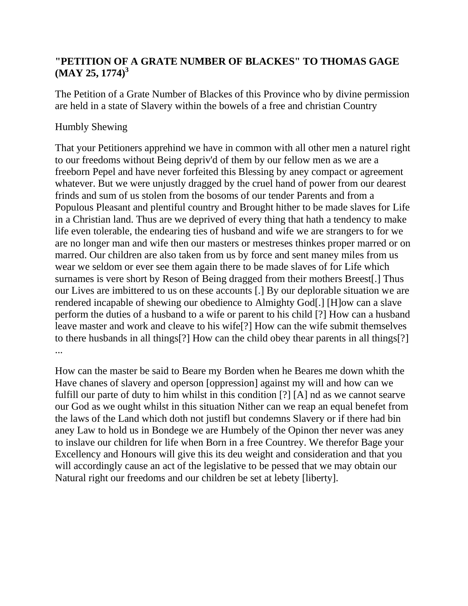## **"PETITION OF A GRATE NUMBER OF BLACKES" TO THOMAS GAGE (MAY 25, 1774)<sup>3</sup>**

The Petition of a Grate Number of Blackes of this Province who by divine permission are held in a state of Slavery within the bowels of a free and christian Country

## Humbly Shewing

That your Petitioners apprehind we have in common with all other men a naturel right to our freedoms without Being depriv'd of them by our fellow men as we are a freeborn Pepel and have never forfeited this Blessing by aney compact or agreement whatever. But we were unjustly dragged by the cruel hand of power from our dearest frinds and sum of us stolen from the bosoms of our tender Parents and from a Populous Pleasant and plentiful country and Brought hither to be made slaves for Life in a Christian land. Thus are we deprived of every thing that hath a tendency to make life even tolerable, the endearing ties of husband and wife we are strangers to for we are no longer man and wife then our masters or mestreses thinkes proper marred or on marred. Our children are also taken from us by force and sent maney miles from us wear we seldom or ever see them again there to be made slaves of for Life which surnames is vere short by Reson of Being dragged from their mothers Breest[.] Thus our Lives are imbittered to us on these accounts [.] By our deplorable situation we are rendered incapable of shewing our obedience to Almighty God[.] [H]ow can a slave perform the duties of a husband to a wife or parent to his child [?] How can a husband leave master and work and cleave to his wife[?] How can the wife submit themselves to there husbands in all things[?] How can the child obey thear parents in all things[?] ...

How can the master be said to Beare my Borden when he Beares me down whith the Have chanes of slavery and operson [oppression] against my will and how can we fulfill our parte of duty to him whilst in this condition [?] [A] nd as we cannot searve our God as we ought whilst in this situation Nither can we reap an equal benefet from the laws of the Land which doth not justifl but condemns Slavery or if there had bin aney Law to hold us in Bondege we are Humbely of the Opinon ther never was aney to inslave our children for life when Born in a free Countrey. We therefor Bage your Excellency and Honours will give this its deu weight and consideration and that you will accordingly cause an act of the legislative to be pessed that we may obtain our Natural right our freedoms and our children be set at lebety [liberty].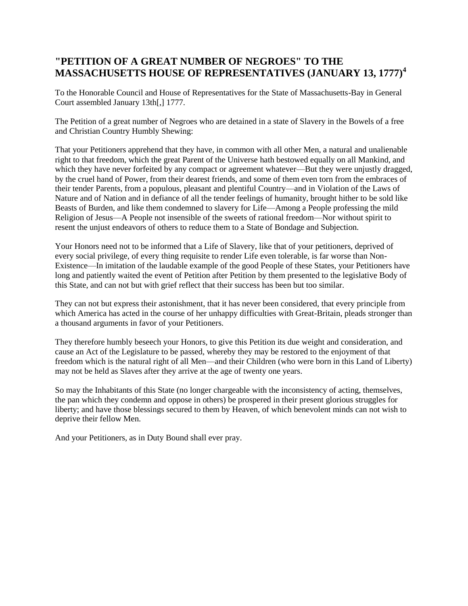### **"PETITION OF A GREAT NUMBER OF NEGROES" TO THE MASSACHUSETTS HOUSE OF REPRESENTATIVES (JANUARY 13, 1777) 4**

To the Honorable Council and House of Representatives for the State of Massachusetts-Bay in General Court assembled January 13th[,] 1777.

The Petition of a great number of Negroes who are detained in a state of Slavery in the Bowels of a free and Christian Country Humbly Shewing:

That your Petitioners apprehend that they have, in common with all other Men, a natural and unalienable right to that freedom, which the great Parent of the Universe hath bestowed equally on all Mankind, and which they have never forfeited by any compact or agreement whatever—But they were unjustly dragged, by the cruel hand of Power, from their dearest friends, and some of them even torn from the embraces of their tender Parents, from a populous, pleasant and plentiful Country—and in Violation of the Laws of Nature and of Nation and in defiance of all the tender feelings of humanity, brought hither to be sold like Beasts of Burden, and like them condemned to slavery for Life—Among a People professing the mild Religion of Jesus—A People not insensible of the sweets of rational freedom—Nor without spirit to resent the unjust endeavors of others to reduce them to a State of Bondage and Subjection.

Your Honors need not to be informed that a Life of Slavery, like that of your petitioners, deprived of every social privilege, of every thing requisite to render Life even tolerable, is far worse than Non-Existence—In imitation of the laudable example of the good People of these States, your Petitioners have long and patiently waited the event of Petition after Petition by them presented to the legislative Body of this State, and can not but with grief reflect that their success has been but too similar.

They can not but express their astonishment, that it has never been considered, that every principle from which America has acted in the course of her unhappy difficulties with Great-Britain, pleads stronger than a thousand arguments in favor of your Petitioners.

They therefore humbly beseech your Honors, to give this Petition its due weight and consideration, and cause an Act of the Legislature to be passed, whereby they may be restored to the enjoyment of that freedom which is the natural right of all Men—and their Children (who were born in this Land of Liberty) may not be held as Slaves after they arrive at the age of twenty one years.

So may the Inhabitants of this State (no longer chargeable with the inconsistency of acting, themselves, the pan which they condemn and oppose in others) be prospered in their present glorious struggles for liberty; and have those blessings secured to them by Heaven, of which benevolent minds can not wish to deprive their fellow Men.

And your Petitioners, as in Duty Bound shall ever pray.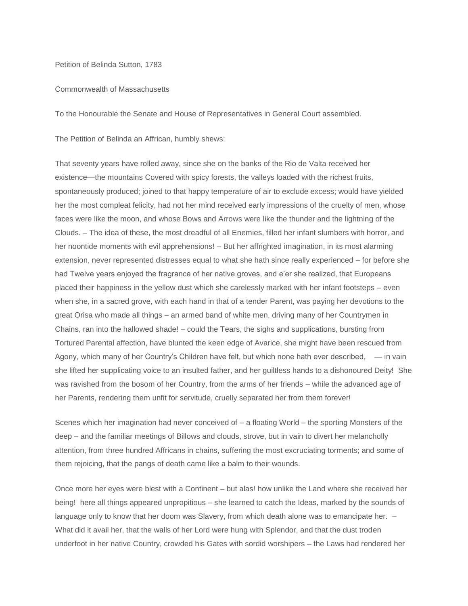Petition of Belinda Sutton, 1783

Commonwealth of Massachusetts

To the Honourable the Senate and House of Representatives in General Court assembled.

The Petition of Belinda an Affrican, humbly shews:

That seventy years have rolled away, since she on the banks of the Rio de Valta received her existence—the mountains Covered with spicy forests, the valleys loaded with the richest fruits, spontaneously produced; joined to that happy temperature of air to exclude excess; would have yielded her the most compleat felicity, had not her mind received early impressions of the cruelty of men, whose faces were like the moon, and whose Bows and Arrows were like the thunder and the lightning of the Clouds. – The idea of these, the most dreadful of all Enemies, filled her infant slumbers with horror, and her noontide moments with evil apprehensions! – But her affrighted imagination, in its most alarming extension, never represented distresses equal to what she hath since really experienced – for before she had Twelve years enjoyed the fragrance of her native groves, and e'er she realized, that Europeans placed their happiness in the yellow dust which she carelessly marked with her infant footsteps – even when she, in a sacred grove, with each hand in that of a tender Parent, was paying her devotions to the great Orisa who made all things – an armed band of white men, driving many of her Countrymen in Chains, ran into the hallowed shade! – could the Tears, the sighs and supplications, bursting from Tortured Parental affection, have blunted the keen edge of Avarice, she might have been rescued from Agony, which many of her Country's Children have felt, but which none hath ever described, — in vain she lifted her supplicating voice to an insulted father, and her guiltless hands to a dishonoured Deity! She was ravished from the bosom of her Country, from the arms of her friends – while the advanced age of her Parents, rendering them unfit for servitude, cruelly separated her from them forever!

Scenes which her imagination had never conceived of – a floating World – the sporting Monsters of the deep – and the familiar meetings of Billows and clouds, strove, but in vain to divert her melancholly attention, from three hundred Affricans in chains, suffering the most excruciating torments; and some of them rejoicing, that the pangs of death came like a balm to their wounds.

Once more her eyes were blest with a Continent – but alas! how unlike the Land where she received her being! here all things appeared unpropitious – she learned to catch the Ideas, marked by the sounds of language only to know that her doom was Slavery, from which death alone was to emancipate her. – What did it avail her, that the walls of her Lord were hung with Splendor, and that the dust troden underfoot in her native Country, crowded his Gates with sordid worshipers – the Laws had rendered her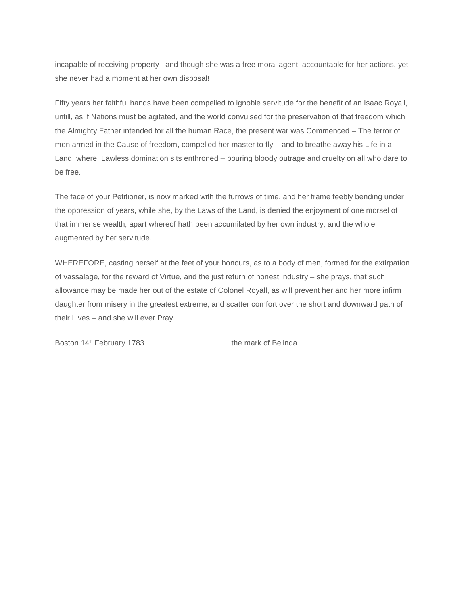incapable of receiving property –and though she was a free moral agent, accountable for her actions, yet she never had a moment at her own disposal!

Fifty years her faithful hands have been compelled to ignoble servitude for the benefit of an Isaac Royall, untill, as if Nations must be agitated, and the world convulsed for the preservation of that freedom which the Almighty Father intended for all the human Race, the present war was Commenced – The terror of men armed in the Cause of freedom, compelled her master to fly – and to breathe away his Life in a Land, where, Lawless domination sits enthroned – pouring bloody outrage and cruelty on all who dare to be free.

The face of your Petitioner, is now marked with the furrows of time, and her frame feebly bending under the oppression of years, while she, by the Laws of the Land, is denied the enjoyment of one morsel of that immense wealth, apart whereof hath been accumilated by her own industry, and the whole augmented by her servitude.

WHEREFORE, casting herself at the feet of your honours, as to a body of men, formed for the extirpation of vassalage, for the reward of Virtue, and the just return of honest industry – she prays, that such allowance may be made her out of the estate of Colonel Royall, as will prevent her and her more infirm daughter from misery in the greatest extreme, and scatter comfort over the short and downward path of their Lives – and she will ever Pray.

Boston 14<sup>th</sup> February 1783 the mark of Belinda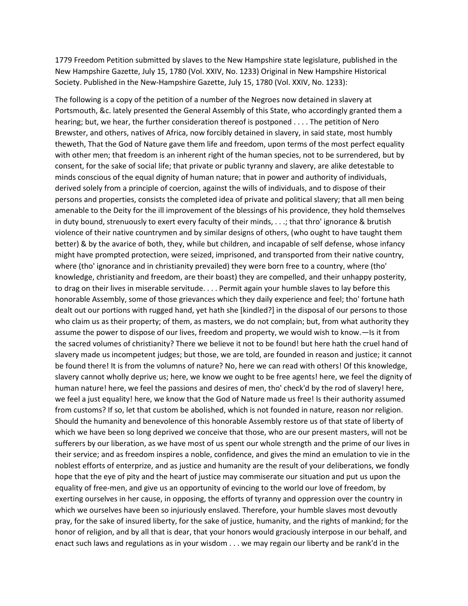1779 Freedom Petition submitted by slaves to the New Hampshire state legislature, published in the New Hampshire Gazette, July 15, 1780 (Vol. XXIV, No. 1233) Original in New Hampshire Historical Society. Published in the New-Hampshire Gazette, July 15, 1780 (Vol. XXIV, No. 1233):

The following is a copy of the petition of a number of the Negroes now detained in slavery at Portsmouth, &c. lately presented the General Assembly of this State, who accordingly granted them a hearing; but, we hear, the further consideration thereof is postponed . . . . The petition of Nero Brewster, and others, natives of Africa, now forcibly detained in slavery, in said state, most humbly theweth, That the God of Nature gave them life and freedom, upon terms of the most perfect equality with other men; that freedom is an inherent right of the human species, not to be surrendered, but by consent, for the sake of social life; that private or public tyranny and slavery, are alike detestable to minds conscious of the equal dignity of human nature; that in power and authority of individuals, derived solely from a principle of coercion, against the wills of individuals, and to dispose of their persons and properties, consists the completed idea of private and political slavery; that all men being amenable to the Deity for the ill improvement of the blessings of his providence, they hold themselves in duty bound, strenuously to exert every faculty of their minds, . . .; that thro' ignorance & brutish violence of their native countrymen and by similar designs of others, (who ought to have taught them better) & by the avarice of both, they, while but children, and incapable of self defense, whose infancy might have prompted protection, were seized, imprisoned, and transported from their native country, where (tho' ignorance and in christianity prevailed) they were born free to a country, where (tho' knowledge, christianity and freedom, are their boast) they are compelled, and their unhappy posterity, to drag on their lives in miserable servitude. . . . Permit again your humble slaves to lay before this honorable Assembly, some of those grievances which they daily experience and feel; tho' fortune hath dealt out our portions with rugged hand, yet hath she [kindled?] in the disposal of our persons to those who claim us as their property; of them, as masters, we do not complain; but, from what authority they assume the power to dispose of our lives, freedom and property, we would wish to know.—Is it from the sacred volumes of christianity? There we believe it not to be found! but here hath the cruel hand of slavery made us incompetent judges; but those, we are told, are founded in reason and justice; it cannot be found there! It is from the volumns of nature? No, here we can read with others! Of this knowledge, slavery cannot wholly deprive us; here, we know we ought to be free agents! here, we feel the dignity of human nature! here, we feel the passions and desires of men, tho' check'd by the rod of slavery! here, we feel a just equality! here, we know that the God of Nature made us free! Is their authority assumed from customs? If so, let that custom be abolished, which is not founded in nature, reason nor religion. Should the humanity and benevolence of this honorable Assembly restore us of that state of liberty of which we have been so long deprived we conceive that those, who are our present masters, will not be sufferers by our liberation, as we have most of us spent our whole strength and the prime of our lives in their service; and as freedom inspires a noble, confidence, and gives the mind an emulation to vie in the noblest efforts of enterprize, and as justice and humanity are the result of your deliberations, we fondly hope that the eye of pity and the heart of justice may commiserate our situation and put us upon the equality of free-men, and give us an opportunity of evincing to the world our love of freedom, by exerting ourselves in her cause, in opposing, the efforts of tyranny and oppression over the country in which we ourselves have been so injuriously enslaved. Therefore, your humble slaves most devoutly pray, for the sake of insured liberty, for the sake of justice, humanity, and the rights of mankind; for the honor of religion, and by all that is dear, that your honors would graciously interpose in our behalf, and enact such laws and regulations as in your wisdom . . . we may regain our liberty and be rank'd in the